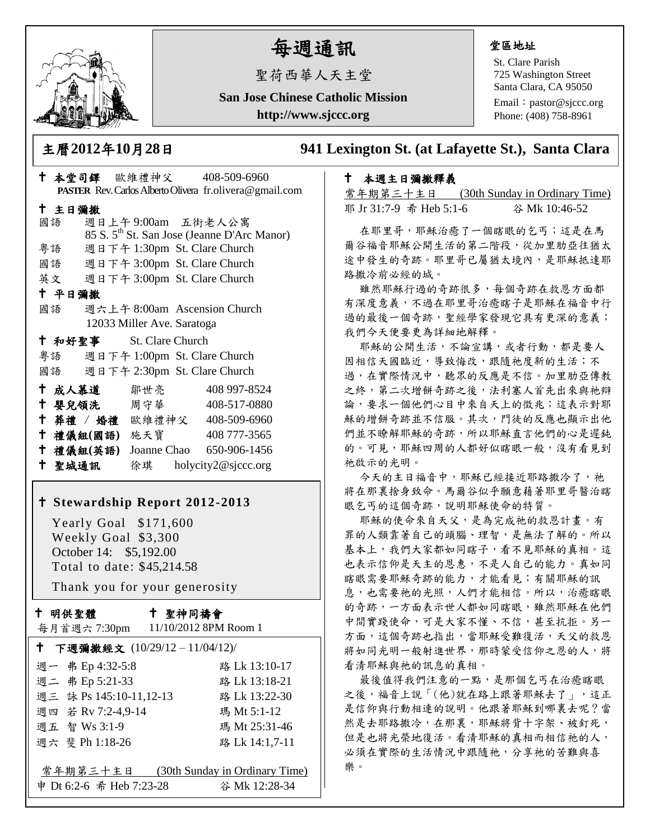

# 每週通訊

聖荷西華人天主堂

**San Jose Chinese Catholic Mission**

**http://www.sjccc.org**

### 堂區地址

St. Clare Parish 725 Washington Street Santa Clara, CA 95050

Email: [pastor@sjccc.org](mailto:pastor@sjccc.org) Phone: (408) 758-8961

主曆**2012**年**10**月**28**日 **941 Lexington St. (at Lafayette St.), Santa Clara** 

### 本週主日彌撒釋義

常年期第三十主日 (30th Sunday in Ordinary Time) 耶 Jr 31:7-9 希 Heb 5:1-6 谷 Mk 10:46-52

在耶里哥,耶穌治癒了一個瞎眼的乞丐;這是在馬 爾谷福音耶穌公開生活的第二階段,從加里肋亞往猶太 途中發生的奇跡。耶里哥已屬猶太境內,是耶穌抵達耶 路撒冷前必經的城。

雖然耶穌行過的奇跡很多,每個奇跡在救恩方面都 有深度意義,不過在耶里哥治癒瞎子是耶穌在福音中行 過的最後一個奇跡,聖經學家發現它具有更深的意義; 我們今天便要更為詳細地解釋。

耶穌的公開生活,不論宣講,或者行動,都是要人 因相信天國臨近,導致悔改,跟隨祂度新的生活;不 過,在實際情況中,聽眾的反應是不信。加里肋亞傳教 之終,第二次增餅奇跡之後,法利塞人首先出來與祂辯 論,要求一個他們心目中來自天上的徵兆;這表示對耶 穌的增餅奇跡並不信服。其次,門徒的反應也顯示出他 們並不瞭解耶穌的奇跡,所以耶穌直言他們的心是遲鈍 的。可見,耶穌四周的人都好似瞎眼一般,沒有看見到 祂啟示的光明。

今天的主日福音中,耶穌已經接近耶路撒冷了,祂 將在那裏捨身致命。馬爾谷似乎願意藉著耶里哥醫治瞎 眼乞丐的這個奇跡,說明耶穌使命的特質。

耶穌的使命來自天父,是為完成祂的救恩計畫。有 罪的人類靠著自己的頭腦、理智,是無法了解的。所以 基本上,我們大家都如同瞎子,看不見耶穌的真相。這 也表示信仰是天主的恩惠,不是人自己的能力。真如同 瞎眼需要耶穌奇跡的能力,才能看見;有關耶穌的訊 息,也需要祂的光照,人們才能相信。所以,治癒瞎眼 的奇跡,一方面表示世人都如同瞎眼,雖然耶穌在他們 中間實踐使命,可是大家不懂、不信,甚至抗拒。另一 方面,這個奇跡也指出,當耶穌受難復活,天父的救恩 將如同光明一般射進世界,那時蒙受信仰之恩的人,將 看清耶穌與祂的訊息的真相。

最後值得我們注意的一點,是那個乞丐在治癒瞎眼 之後,福音上說「(他)就在路上跟著耶穌去了」,這正 是信仰與行動相連的說明。他跟著耶穌到哪裏去呢?當 然是去耶路撒冷,在那裏,耶穌將背十字架、被釘死, 但是也將光榮地復活。看清耶穌的真相而相信祂的人, 必須在實際的生活情況中跟隨祂,分享祂的苦難與喜 樂。

|                                                         |        | $-2$ $+1$ $-1$ $-1$     |                            |  |                                                         |  |  |
|---------------------------------------------------------|--------|-------------------------|----------------------------|--|---------------------------------------------------------|--|--|
| PASTER Rev. Carlos Alberto Olivera fr.olivera@gmail.com |        |                         |                            |  |                                                         |  |  |
| 十 主日彌撒                                                  |        |                         |                            |  |                                                         |  |  |
|                                                         |        |                         |                            |  | 國語 週日上午9:00am 五街老人公寓                                    |  |  |
|                                                         |        |                         |                            |  | 85 S. 5 <sup>th</sup> St. San Jose (Jeanne D'Arc Manor) |  |  |
|                                                         | 粤語     |                         |                            |  | 週日下午 1:30pm St. Clare Church                            |  |  |
|                                                         |        |                         |                            |  | 國語 週日下午 3:00pm St. Clare Church                         |  |  |
|                                                         |        |                         |                            |  | 英文 週日下午 3:00pm St. Clare Church                         |  |  |
| 十 平日彌撒                                                  |        |                         |                            |  |                                                         |  |  |
|                                                         | 國語     |                         |                            |  | 週六上午 8:00am Ascension Church                            |  |  |
|                                                         |        |                         | 12033 Miller Ave. Saratoga |  |                                                         |  |  |
|                                                         |        | + 和好聖事 St. Clare Church |                            |  |                                                         |  |  |
|                                                         |        |                         |                            |  | 粤語 週日下午 1:00pm St. Clare Church                         |  |  |
| 國語 週日下午 2:30pm St. Clare Church                         |        |                         |                            |  |                                                         |  |  |
|                                                         |        | † 成人慕道   鄒世亮            |                            |  | 408 997-8524                                            |  |  |
|                                                         |        | † 嬰兒領洗   周守華 ──         |                            |  | 408-517-0880                                            |  |  |
|                                                         |        |                         |                            |  | † 葬禮 / 婚禮 歐維禮神父 408-509-6960                            |  |  |
|                                                         |        | 十 禮儀組(國語) 施天寶           |                            |  | 408 777-3565                                            |  |  |
|                                                         |        | 十 禮儀組(英語)               |                            |  | Joanne Chao 650-906-1456                                |  |  |
|                                                         | 十 聖城通訊 |                         |                            |  | 徐琪 holycity2@sjccc.org                                  |  |  |

本堂司鐸 歐維禮神父 408-509-6960

# **Stewardship Report 2012-2013**

 Yearly Goal \$171,600 Weekly Goal \$3,300 October 14: \$5,192.00 Total to date: \$45,214.58

Thank you for your generosity

| t |  | 明供聖體 |
|---|--|------|
|---|--|------|

聖神同禱會

| 每月首週六 7:30pm                              | 11/10/2012 8PM Room 1          |  |  |  |  |  |
|-------------------------------------------|--------------------------------|--|--|--|--|--|
| ↑ 下週彌撒經文 (10/29/12-11/04/12)/             |                                |  |  |  |  |  |
| 週一 弗 Ep 4:32-5:8                          | 路 Lk 13:10-17                  |  |  |  |  |  |
| 週二 弗 Ep 5:21-33                           | 路 Lk 13:18-21                  |  |  |  |  |  |
| 週三 詠 Ps 145:10-11,12-13                   | 路 Lk 13:22-30                  |  |  |  |  |  |
| 週四 若 Rv 7:2-4,9-14                        | 瑪 Mt 5:1-12                    |  |  |  |  |  |
| 週五 智 Ws 3:1-9                             | 瑪 Mt 25:31-46                  |  |  |  |  |  |
| 週六 斐 Ph 1:18-26                           | 路 Lk 14:1,7-11                 |  |  |  |  |  |
|                                           |                                |  |  |  |  |  |
| 常年期第三十主日                                  | (30th Sunday in Ordinary Time) |  |  |  |  |  |
| 申 Dt 6:2-6 希 Heb 7:23-28<br>谷 Mk 12:28-34 |                                |  |  |  |  |  |